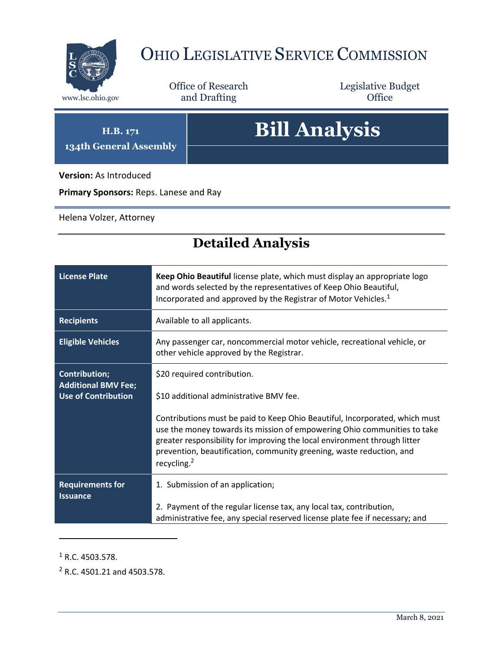

## OHIO LEGISLATIVE SERVICE COMMISSION

Office of Research www.lsc.ohio.gov **and Drafting Office** 

Legislative Budget

**H.B. 171 134th General Assembly**

## **Bill Analysis**

**Version:** As Introduced

**Primary Sponsors:** Reps. Lanese and Ray

Helena Volzer, Attorney

## **Detailed Analysis**

| <b>License Plate</b>                                                             | Keep Ohio Beautiful license plate, which must display an appropriate logo<br>and words selected by the representatives of Keep Ohio Beautiful,<br>Incorporated and approved by the Registrar of Motor Vehicles. <sup>1</sup>                                                                                                            |  |
|----------------------------------------------------------------------------------|-----------------------------------------------------------------------------------------------------------------------------------------------------------------------------------------------------------------------------------------------------------------------------------------------------------------------------------------|--|
| <b>Recipients</b>                                                                | Available to all applicants.                                                                                                                                                                                                                                                                                                            |  |
| <b>Eligible Vehicles</b>                                                         | Any passenger car, noncommercial motor vehicle, recreational vehicle, or<br>other vehicle approved by the Registrar.                                                                                                                                                                                                                    |  |
| <b>Contribution;</b><br><b>Additional BMV Fee;</b><br><b>Use of Contribution</b> | \$20 required contribution.                                                                                                                                                                                                                                                                                                             |  |
|                                                                                  | \$10 additional administrative BMV fee.                                                                                                                                                                                                                                                                                                 |  |
|                                                                                  | Contributions must be paid to Keep Ohio Beautiful, Incorporated, which must<br>use the money towards its mission of empowering Ohio communities to take<br>greater responsibility for improving the local environment through litter<br>prevention, beautification, community greening, waste reduction, and<br>recycling. <sup>2</sup> |  |
| <b>Requirements for</b><br><b>Issuance</b>                                       | 1. Submission of an application;                                                                                                                                                                                                                                                                                                        |  |
|                                                                                  | 2. Payment of the regular license tax, any local tax, contribution,<br>administrative fee, any special reserved license plate fee if necessary; and                                                                                                                                                                                     |  |

 $1$  R.C. 4503.578.

 $\overline{a}$ 

<sup>2</sup> R.C. 4501.21 and 4503.578.